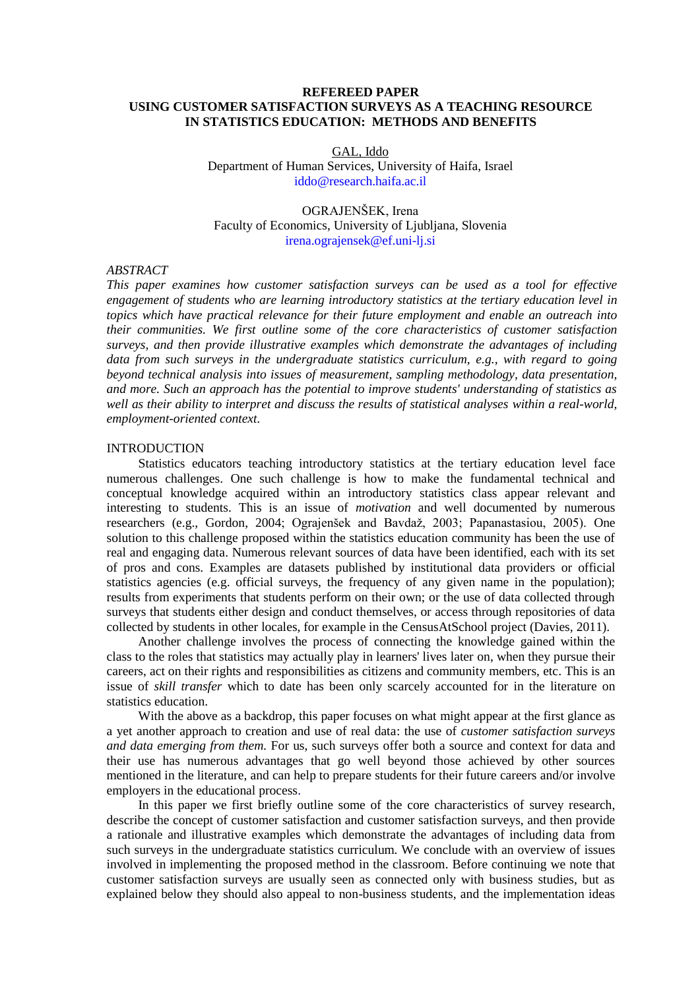## **REFEREED PAPER USING CUSTOMER SATISFACTION SURVEYS AS A TEACHING RESOURCE IN STATISTICS EDUCATION: METHODS AND BENEFITS**

#### GAL, Iddo Department of Human Services, University of Haifa, Israel [iddo@research.haifa.ac.il](mailto:iddo@research.haifa.ac.il)

# OGRAJENŠEK, Irena Faculty of Economics, University of Ljubljana, Slovenia [irena.ograjensek@ef.uni-lj.si](mailto:irena.ograjensek@ef.uni-lj.si)

#### *ABSTRACT*

*This paper examines how customer satisfaction surveys can be used as a tool for effective engagement of students who are learning introductory statistics at the tertiary education level in topics which have practical relevance for their future employment and enable an outreach into their communities. We first outline some of the core characteristics of customer satisfaction surveys, and then provide illustrative examples which demonstrate the advantages of including data from such surveys in the undergraduate statistics curriculum, e.g., with regard to going beyond technical analysis into issues of measurement, sampling methodology, data presentation, and more. Such an approach has the potential to improve students' understanding of statistics as well as their ability to interpret and discuss the results of statistical analyses within a real-world, employment-oriented context.* 

## **INTRODUCTION**

Statistics educators teaching introductory statistics at the tertiary education level face numerous challenges. One such challenge is how to make the fundamental technical and conceptual knowledge acquired within an introductory statistics class appear relevant and interesting to students. This is an issue of *motivation* and well documented by numerous researchers (e.g., Gordon, 2004; Ograjenšek and Bavdaž, 2003; Papanastasiou, 2005). One solution to this challenge proposed within the statistics education community has been the use of real and engaging data. Numerous relevant sources of data have been identified, each with its set of pros and cons. Examples are datasets published by institutional data providers or official statistics agencies (e.g. official surveys, the frequency of any given name in the population); results from experiments that students perform on their own; or the use of data collected through surveys that students either design and conduct themselves, or access through repositories of data collected by students in other locales, for example in the CensusAtSchool project (Davies, 2011).

Another challenge involves the process of connecting the knowledge gained within the class to the roles that statistics may actually play in learners' lives later on, when they pursue their careers, act on their rights and responsibilities as citizens and community members, etc. This is an issue of *skill transfer* which to date has been only scarcely accounted for in the literature on statistics education.

With the above as a backdrop, this paper focuses on what might appear at the first glance as a yet another approach to creation and use of real data: the use of *customer satisfaction surveys and data emerging from them.* For us, such surveys offer both a source and context for data and their use has numerous advantages that go well beyond those achieved by other sources mentioned in the literature, and can help to prepare students for their future careers and/or involve employers in the educational process.

In this paper we first briefly outline some of the core characteristics of survey research, describe the concept of customer satisfaction and customer satisfaction surveys, and then provide a rationale and illustrative examples which demonstrate the advantages of including data from such surveys in the undergraduate statistics curriculum. We conclude with an overview of issues involved in implementing the proposed method in the classroom. Before continuing we note that customer satisfaction surveys are usually seen as connected only with business studies, but as explained below they should also appeal to non-business students, and the implementation ideas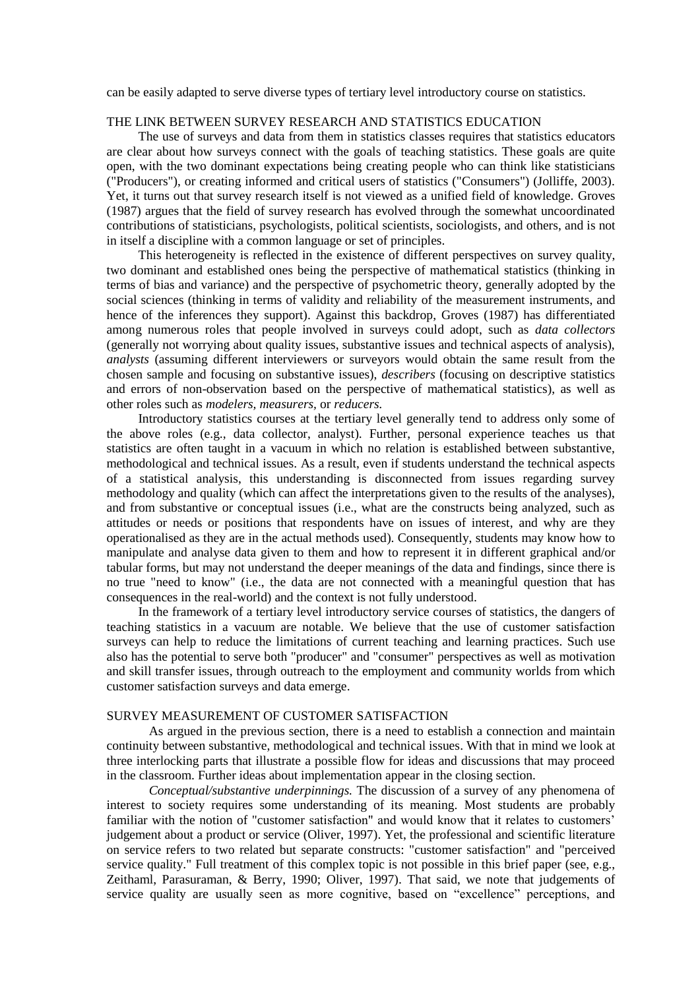can be easily adapted to serve diverse types of tertiary level introductory course on statistics.

# THE LINK BETWEEN SURVEY RESEARCH AND STATISTICS EDUCATION

The use of surveys and data from them in statistics classes requires that statistics educators are clear about how surveys connect with the goals of teaching statistics. These goals are quite open, with the two dominant expectations being creating people who can think like statisticians ("Producers"), or creating informed and critical users of statistics ("Consumers") (Jolliffe, 2003). Yet, it turns out that survey research itself is not viewed as a unified field of knowledge. Groves (1987) argues that the field of survey research has evolved through the somewhat uncoordinated contributions of statisticians, psychologists, political scientists, sociologists, and others, and is not in itself a discipline with a common language or set of principles.

This heterogeneity is reflected in the existence of different perspectives on survey quality, two dominant and established ones being the perspective of mathematical statistics (thinking in terms of bias and variance) and the perspective of psychometric theory, generally adopted by the social sciences (thinking in terms of validity and reliability of the measurement instruments, and hence of the inferences they support). Against this backdrop, Groves (1987) has differentiated among numerous roles that people involved in surveys could adopt, such as *data collectors* (generally not worrying about quality issues, substantive issues and technical aspects of analysis), *analysts* (assuming different interviewers or surveyors would obtain the same result from the chosen sample and focusing on substantive issues), *describers* (focusing on descriptive statistics and errors of non-observation based on the perspective of mathematical statistics), as well as other roles such as *modelers, measurers,* or *reducers.*

Introductory statistics courses at the tertiary level generally tend to address only some of the above roles (e.g., data collector, analyst). Further, personal experience teaches us that statistics are often taught in a vacuum in which no relation is established between substantive, methodological and technical issues. As a result, even if students understand the technical aspects of a statistical analysis, this understanding is disconnected from issues regarding survey methodology and quality (which can affect the interpretations given to the results of the analyses), and from substantive or conceptual issues (i.e., what are the constructs being analyzed, such as attitudes or needs or positions that respondents have on issues of interest, and why are they operationalised as they are in the actual methods used). Consequently, students may know how to manipulate and analyse data given to them and how to represent it in different graphical and/or tabular forms, but may not understand the deeper meanings of the data and findings, since there is no true "need to know" (i.e., the data are not connected with a meaningful question that has consequences in the real-world) and the context is not fully understood.

In the framework of a tertiary level introductory service courses of statistics, the dangers of teaching statistics in a vacuum are notable. We believe that the use of customer satisfaction surveys can help to reduce the limitations of current teaching and learning practices. Such use also has the potential to serve both "producer" and "consumer" perspectives as well as motivation and skill transfer issues, through outreach to the employment and community worlds from which customer satisfaction surveys and data emerge.

## SURVEY MEASUREMENT OF CUSTOMER SATISFACTION

As argued in the previous section, there is a need to establish a connection and maintain continuity between substantive, methodological and technical issues. With that in mind we look at three interlocking parts that illustrate a possible flow for ideas and discussions that may proceed in the classroom. Further ideas about implementation appear in the closing section.

*Conceptual/substantive underpinnings.* The discussion of a survey of any phenomena of interest to society requires some understanding of its meaning. Most students are probably familiar with the notion of "customer satisfaction" and would know that it relates to customers' judgement about a product or service (Oliver, 1997). Yet, the professional and scientific literature on service refers to two related but separate constructs: "customer satisfaction" and "perceived service quality." Full treatment of this complex topic is not possible in this brief paper (see, e.g., Zeithaml, Parasuraman, & Berry, 1990; Oliver, 1997). That said, we note that judgements of service quality are usually seen as more cognitive, based on "excellence" perceptions, and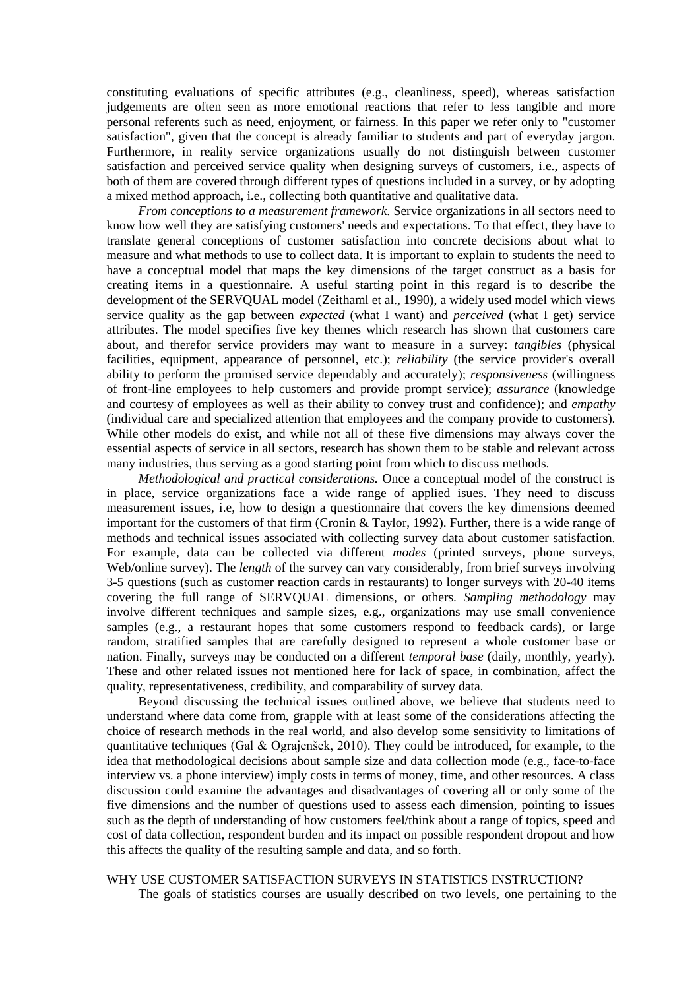constituting evaluations of specific attributes (e.g., cleanliness, speed), whereas satisfaction judgements are often seen as more emotional reactions that refer to less tangible and more personal referents such as need, enjoyment, or fairness. In this paper we refer only to "customer satisfaction", given that the concept is already familiar to students and part of everyday jargon. Furthermore, in reality service organizations usually do not distinguish between customer satisfaction and perceived service quality when designing surveys of customers, i.e., aspects of both of them are covered through different types of questions included in a survey, or by adopting a mixed method approach, i.e., collecting both quantitative and qualitative data.

*From conceptions to a measurement framework.* Service organizations in all sectors need to know how well they are satisfying customers' needs and expectations. To that effect, they have to translate general conceptions of customer satisfaction into concrete decisions about what to measure and what methods to use to collect data. It is important to explain to students the need to have a conceptual model that maps the key dimensions of the target construct as a basis for creating items in a questionnaire. A useful starting point in this regard is to describe the development of the SERVQUAL model (Zeithaml et al., 1990), a widely used model which views service quality as the gap between *expected* (what I want) and *perceived* (what I get) service attributes. The model specifies five key themes which research has shown that customers care about, and therefor service providers may want to measure in a survey: *tangibles* (physical facilities, equipment, appearance of personnel, etc.); *reliability* (the service provider's overall ability to perform the promised service dependably and accurately); *responsiveness* (willingness of front-line employees to help customers and provide prompt service); *assurance* (knowledge and courtesy of employees as well as their ability to convey trust and confidence); and *empathy* (individual care and specialized attention that employees and the company provide to customers). While other models do exist, and while not all of these five dimensions may always cover the essential aspects of service in all sectors, research has shown them to be stable and relevant across many industries, thus serving as a good starting point from which to discuss methods.

*Methodological and practical considerations.* Once a conceptual model of the construct is in place, service organizations face a wide range of applied isues. They need to discuss measurement issues, i.e, how to design a questionnaire that covers the key dimensions deemed important for the customers of that firm (Cronin & Taylor, 1992). Further, there is a wide range of methods and technical issues associated with collecting survey data about customer satisfaction. For example, data can be collected via different *modes* (printed surveys, phone surveys, Web/online survey). The *length* of the survey can vary considerably, from brief surveys involving 3-5 questions (such as customer reaction cards in restaurants) to longer surveys with 20-40 items covering the full range of SERVQUAL dimensions, or others. *Sampling methodology* may involve different techniques and sample sizes, e.g., organizations may use small convenience samples (e.g., a restaurant hopes that some customers respond to feedback cards), or large random, stratified samples that are carefully designed to represent a whole customer base or nation. Finally, surveys may be conducted on a different *temporal base* (daily, monthly, yearly). These and other related issues not mentioned here for lack of space, in combination, affect the quality, representativeness, credibility, and comparability of survey data.

Beyond discussing the technical issues outlined above, we believe that students need to understand where data come from, grapple with at least some of the considerations affecting the choice of research methods in the real world, and also develop some sensitivity to limitations of quantitative techniques (Gal & Ograjenšek, 2010). They could be introduced, for example, to the idea that methodological decisions about sample size and data collection mode (e.g., face-to-face interview vs. a phone interview) imply costs in terms of money, time, and other resources. A class discussion could examine the advantages and disadvantages of covering all or only some of the five dimensions and the number of questions used to assess each dimension, pointing to issues such as the depth of understanding of how customers feel/think about a range of topics, speed and cost of data collection, respondent burden and its impact on possible respondent dropout and how this affects the quality of the resulting sample and data, and so forth.

# WHY USE CUSTOMER SATISFACTION SURVEYS IN STATISTICS INSTRUCTION?

The goals of statistics courses are usually described on two levels, one pertaining to the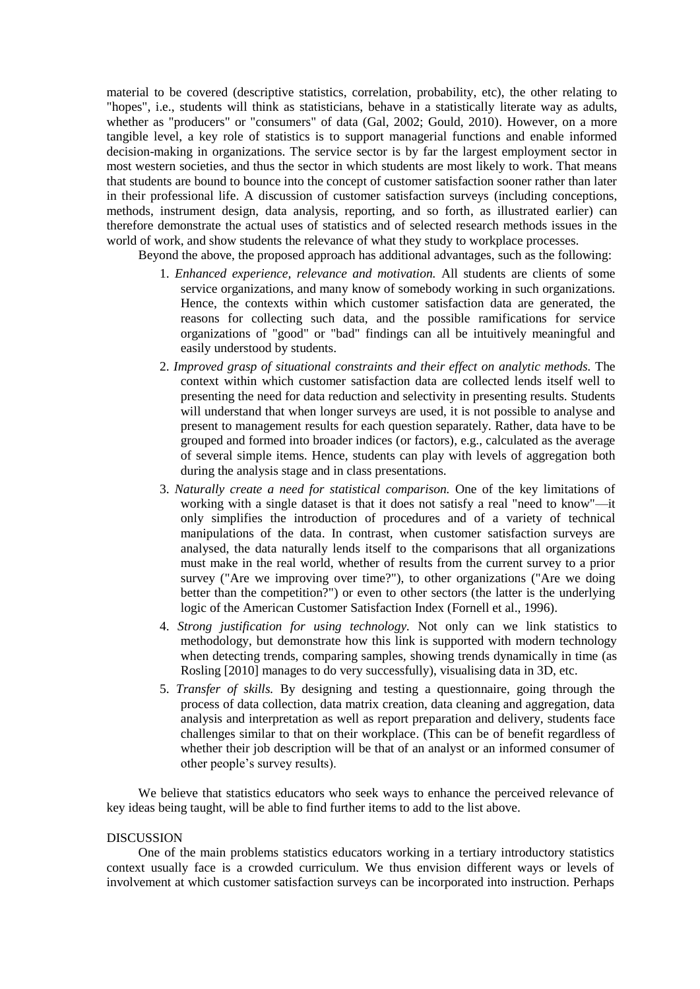material to be covered (descriptive statistics, correlation, probability, etc), the other relating to "hopes", i.e., students will think as statisticians, behave in a statistically literate way as adults, whether as "producers" or "consumers" of data (Gal, 2002; Gould, 2010). However, on a more tangible level, a key role of statistics is to support managerial functions and enable informed decision-making in organizations. The service sector is by far the largest employment sector in most western societies, and thus the sector in which students are most likely to work. That means that students are bound to bounce into the concept of customer satisfaction sooner rather than later in their professional life. A discussion of customer satisfaction surveys (including conceptions, methods, instrument design, data analysis, reporting, and so forth, as illustrated earlier) can therefore demonstrate the actual uses of statistics and of selected research methods issues in the world of work, and show students the relevance of what they study to workplace processes.

Beyond the above, the proposed approach has additional advantages, such as the following:

- 1. *Enhanced experience, relevance and motivation.* All students are clients of some service organizations, and many know of somebody working in such organizations. Hence, the contexts within which customer satisfaction data are generated, the reasons for collecting such data, and the possible ramifications for service organizations of "good" or "bad" findings can all be intuitively meaningful and easily understood by students.
- 2. *Improved grasp of situational constraints and their effect on analytic methods.* The context within which customer satisfaction data are collected lends itself well to presenting the need for data reduction and selectivity in presenting results. Students will understand that when longer surveys are used, it is not possible to analyse and present to management results for each question separately. Rather, data have to be grouped and formed into broader indices (or factors), e.g., calculated as the average of several simple items. Hence, students can play with levels of aggregation both during the analysis stage and in class presentations.
- 3. *Naturally create a need for statistical comparison.* One of the key limitations of working with a single dataset is that it does not satisfy a real "need to know"—it only simplifies the introduction of procedures and of a variety of technical manipulations of the data. In contrast, when customer satisfaction surveys are analysed, the data naturally lends itself to the comparisons that all organizations must make in the real world, whether of results from the current survey to a prior survey ("Are we improving over time?"), to other organizations ("Are we doing better than the competition?") or even to other sectors (the latter is the underlying logic of the American Customer Satisfaction Index (Fornell et al., 1996).
- 4. *Strong justification for using technology.* Not only can we link statistics to methodology, but demonstrate how this link is supported with modern technology when detecting trends, comparing samples, showing trends dynamically in time (as Rosling [2010] manages to do very successfully), visualising data in 3D, etc.
- 5. *Transfer of skills.* By designing and testing a questionnaire, going through the process of data collection, data matrix creation, data cleaning and aggregation, data analysis and interpretation as well as report preparation and delivery, students face challenges similar to that on their workplace. (This can be of benefit regardless of whether their job description will be that of an analyst or an informed consumer of other people's survey results).

We believe that statistics educators who seek ways to enhance the perceived relevance of key ideas being taught, will be able to find further items to add to the list above.

#### DISCUSSION

One of the main problems statistics educators working in a tertiary introductory statistics context usually face is a crowded curriculum. We thus envision different ways or levels of involvement at which customer satisfaction surveys can be incorporated into instruction. Perhaps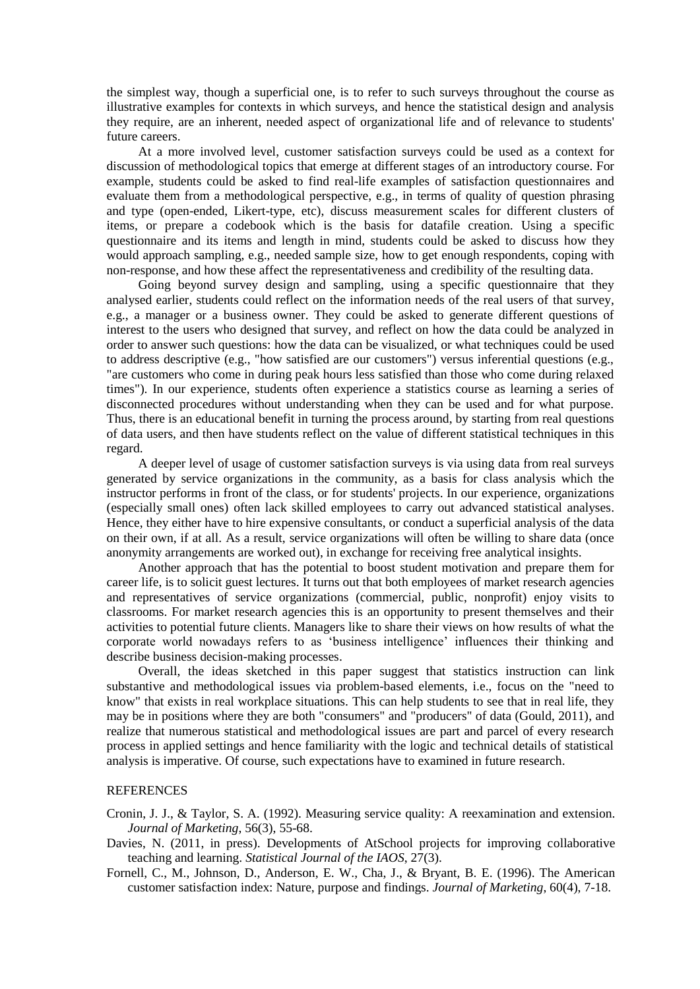the simplest way, though a superficial one, is to refer to such surveys throughout the course as illustrative examples for contexts in which surveys, and hence the statistical design and analysis they require, are an inherent, needed aspect of organizational life and of relevance to students' future careers.

At a more involved level, customer satisfaction surveys could be used as a context for discussion of methodological topics that emerge at different stages of an introductory course. For example, students could be asked to find real-life examples of satisfaction questionnaires and evaluate them from a methodological perspective, e.g., in terms of quality of question phrasing and type (open-ended, Likert-type, etc), discuss measurement scales for different clusters of items, or prepare a codebook which is the basis for datafile creation. Using a specific questionnaire and its items and length in mind, students could be asked to discuss how they would approach sampling, e.g., needed sample size, how to get enough respondents, coping with non-response, and how these affect the representativeness and credibility of the resulting data.

Going beyond survey design and sampling, using a specific questionnaire that they analysed earlier, students could reflect on the information needs of the real users of that survey, e.g., a manager or a business owner. They could be asked to generate different questions of interest to the users who designed that survey, and reflect on how the data could be analyzed in order to answer such questions: how the data can be visualized, or what techniques could be used to address descriptive (e.g., "how satisfied are our customers") versus inferential questions (e.g., "are customers who come in during peak hours less satisfied than those who come during relaxed times"). In our experience, students often experience a statistics course as learning a series of disconnected procedures without understanding when they can be used and for what purpose. Thus, there is an educational benefit in turning the process around, by starting from real questions of data users, and then have students reflect on the value of different statistical techniques in this regard.

A deeper level of usage of customer satisfaction surveys is via using data from real surveys generated by service organizations in the community, as a basis for class analysis which the instructor performs in front of the class, or for students' projects. In our experience, organizations (especially small ones) often lack skilled employees to carry out advanced statistical analyses. Hence, they either have to hire expensive consultants, or conduct a superficial analysis of the data on their own, if at all. As a result, service organizations will often be willing to share data (once anonymity arrangements are worked out), in exchange for receiving free analytical insights.

Another approach that has the potential to boost student motivation and prepare them for career life, is to solicit guest lectures. It turns out that both employees of market research agencies and representatives of service organizations (commercial, public, nonprofit) enjoy visits to classrooms. For market research agencies this is an opportunity to present themselves and their activities to potential future clients. Managers like to share their views on how results of what the corporate world nowadays refers to as ‗business intelligence' influences their thinking and describe business decision-making processes.

Overall, the ideas sketched in this paper suggest that statistics instruction can link substantive and methodological issues via problem-based elements, i.e., focus on the "need to know" that exists in real workplace situations. This can help students to see that in real life, they may be in positions where they are both "consumers" and "producers" of data (Gould, 2011), and realize that numerous statistical and methodological issues are part and parcel of every research process in applied settings and hence familiarity with the logic and technical details of statistical analysis is imperative. Of course, such expectations have to examined in future research.

## **REFERENCES**

- Cronin, J. J., & Taylor, S. A. (1992). Measuring service quality: A reexamination and extension. *Journal of Marketing*, 56(3), 55-68.
- Davies, N. (2011, in press). Developments of AtSchool projects for improving collaborative teaching and learning. *Statistical Journal of the IAOS*, 27(3).
- Fornell, C., M., Johnson, D., Anderson, E. W., Cha, J., & Bryant, B. E. (1996). The American customer satisfaction index: Nature, purpose and findings. *Journal of Marketing*, 60(4), 7-18.